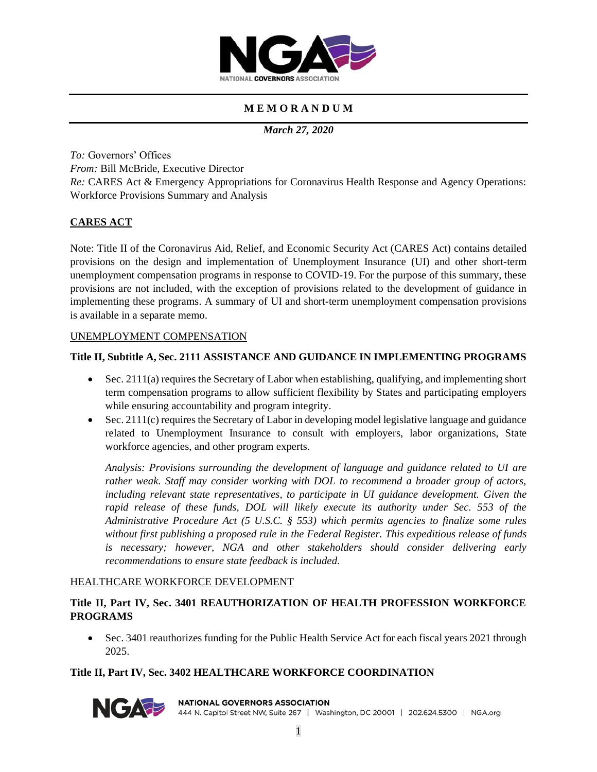

# **M E M O R A N D U M**

*March 27, 2020*

*To:* Governors' Offices *From:* Bill McBride, Executive Director *Re:* CARES Act & Emergency Appropriations for Coronavirus Health Response and Agency Operations: Workforce Provisions Summary and Analysis

# **CARES ACT**

Note: Title II of the Coronavirus Aid, Relief, and Economic Security Act (CARES Act) contains detailed provisions on the design and implementation of Unemployment Insurance (UI) and other short-term unemployment compensation programs in response to COVID-19. For the purpose of this summary, these provisions are not included, with the exception of provisions related to the development of guidance in implementing these programs. A summary of UI and short-term unemployment compensation provisions is available in a separate memo.

### UNEMPLOYMENT COMPENSATION

## **Title II, Subtitle A, Sec. 2111 ASSISTANCE AND GUIDANCE IN IMPLEMENTING PROGRAMS**

- Sec. 2111(a) requires the Secretary of Labor when establishing, qualifying, and implementing short term compensation programs to allow sufficient flexibility by States and participating employers while ensuring accountability and program integrity.
- Sec. 2111(c) requires the Secretary of Labor in developing model legislative language and guidance related to Unemployment Insurance to consult with employers, labor organizations, State workforce agencies, and other program experts.

*Analysis: Provisions surrounding the development of language and guidance related to UI are rather weak. Staff may consider working with DOL to recommend a broader group of actors, including relevant state representatives, to participate in UI guidance development. Given the rapid release of these funds, DOL will likely execute its authority under Sec. 553 of the Administrative Procedure Act (5 U.S.C. § 553) which permits agencies to finalize some rules without first publishing a proposed rule in the Federal Register. This expeditious release of funds is necessary; however, NGA and other stakeholders should consider delivering early recommendations to ensure state feedback is included.* 

### HEALTHCARE WORKFORCE DEVELOPMENT

# **Title II, Part IV, Sec. 3401 REAUTHORIZATION OF HEALTH PROFESSION WORKFORCE PROGRAMS**

• Sec. 3401 reauthorizes funding for the Public Health Service Act for each fiscal years 2021 through 2025.

# **Title II, Part IV, Sec. 3402 HEALTHCARE WORKFORCE COORDINATION**



### **NATIONAL GOVERNORS ASSOCIATION**

444 N. Capitol Street NW, Suite 267 | Washington, DC 20001 | 202.624.5300 | NGA.org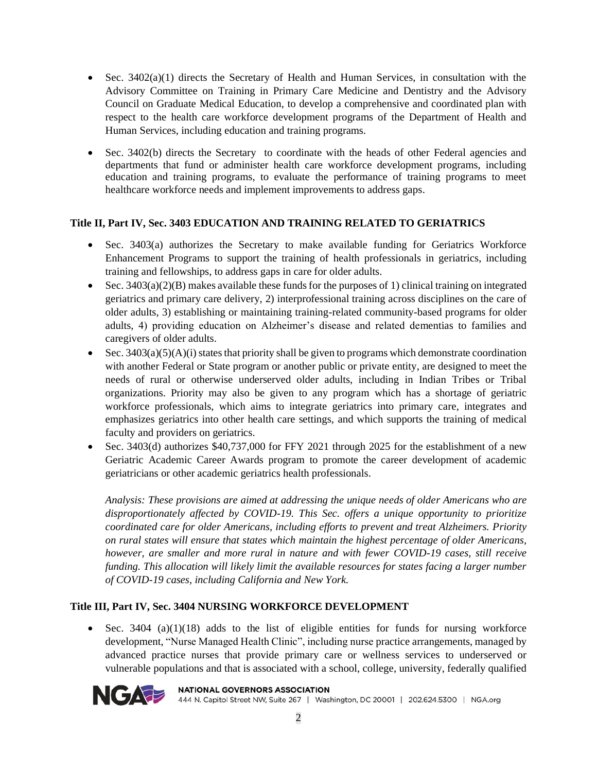- Sec.  $3402(a)(1)$  directs the Secretary of Health and Human Services, in consultation with the Advisory Committee on Training in Primary Care Medicine and Dentistry and the Advisory Council on Graduate Medical Education, to develop a comprehensive and coordinated plan with respect to the health care workforce development programs of the Department of Health and Human Services, including education and training programs.
- Sec. 3402(b) directs the Secretary to coordinate with the heads of other Federal agencies and departments that fund or administer health care workforce development programs, including education and training programs, to evaluate the performance of training programs to meet healthcare workforce needs and implement improvements to address gaps.

### **Title II, Part IV, Sec. 3403 EDUCATION AND TRAINING RELATED TO GERIATRICS**

- Sec. 3403(a) authorizes the Secretary to make available funding for Geriatrics Workforce Enhancement Programs to support the training of health professionals in geriatrics, including training and fellowships, to address gaps in care for older adults.
- Sec.  $3403(a)(2)(B)$  makes available these funds for the purposes of 1) clinical training on integrated geriatrics and primary care delivery, 2) interprofessional training across disciplines on the care of older adults, 3) establishing or maintaining training-related community-based programs for older adults, 4) providing education on Alzheimer's disease and related dementias to families and caregivers of older adults.
- Sec.  $3403(a)(5)(A)(i)$  states that priority shall be given to programs which demonstrate coordination with another Federal or State program or another public or private entity, are designed to meet the needs of rural or otherwise underserved older adults, including in Indian Tribes or Tribal organizations. Priority may also be given to any program which has a shortage of geriatric workforce professionals, which aims to integrate geriatrics into primary care, integrates and emphasizes geriatrics into other health care settings, and which supports the training of medical faculty and providers on geriatrics.
- Sec. 3403(d) authorizes \$40,737,000 for FFY 2021 through 2025 for the establishment of a new Geriatric Academic Career Awards program to promote the career development of academic geriatricians or other academic geriatrics health professionals.

*Analysis: These provisions are aimed at addressing the unique needs of older Americans who are disproportionately affected by COVID-19. This Sec. offers a unique opportunity to prioritize coordinated care for older Americans, including efforts to prevent and treat Alzheimers. Priority on rural states will ensure that states which maintain the highest percentage of older Americans, however, are smaller and more rural in nature and with fewer COVID-19 cases, still receive funding. This allocation will likely limit the available resources for states facing a larger number of COVID-19 cases, including California and New York.* 

# **Title III, Part IV, Sec. 3404 NURSING WORKFORCE DEVELOPMENT**

• Sec. 3404 (a) $(1)(18)$  adds to the list of eligible entities for funds for nursing workforce development, "Nurse Managed Health Clinic", including nurse practice arrangements, managed by advanced practice nurses that provide primary care or wellness services to underserved or vulnerable populations and that is associated with a school, college, university, federally qualified



#### **NATIONAL GOVERNORS ASSOCIATION**

444 N. Capitol Street NW, Suite 267 | Washington, DC 20001 | 202.624.5300 | NGA.org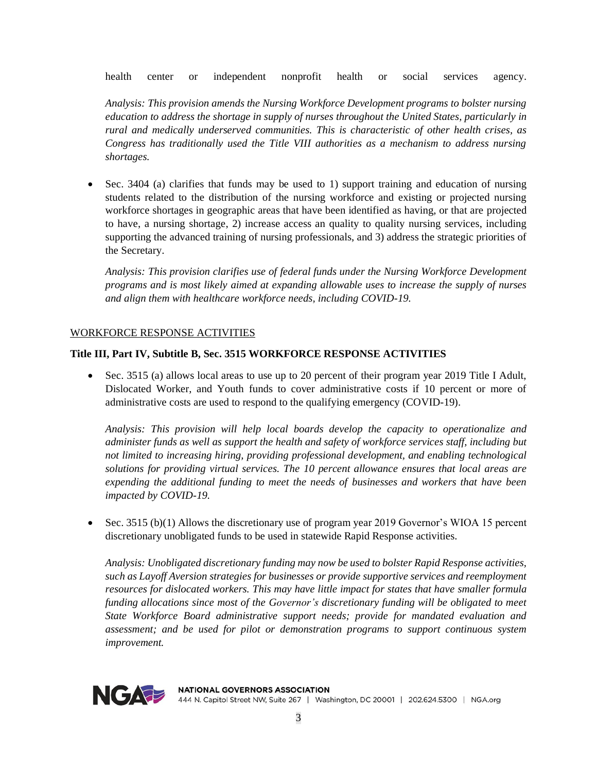health center or independent nonprofit health or social services agency.

*Analysis: This provision amends the Nursing Workforce Development programs to bolster nursing education to address the shortage in supply of nurses throughout the United States, particularly in rural and medically underserved communities. This is characteristic of other health crises, as Congress has traditionally used the Title VIII authorities as a mechanism to address nursing shortages.*

• Sec. 3404 (a) clarifies that funds may be used to 1) support training and education of nursing students related to the distribution of the nursing workforce and existing or projected nursing workforce shortages in geographic areas that have been identified as having, or that are projected to have, a nursing shortage, 2) increase access an quality to quality nursing services, including supporting the advanced training of nursing professionals, and 3) address the strategic priorities of the Secretary.

*Analysis: This provision clarifies use of federal funds under the Nursing Workforce Development programs and is most likely aimed at expanding allowable uses to increase the supply of nurses and align them with healthcare workforce needs, including COVID-19.* 

#### WORKFORCE RESPONSE ACTIVITIES

### **Title III, Part IV, Subtitle B, Sec. 3515 WORKFORCE RESPONSE ACTIVITIES**

• Sec. 3515 (a) allows local areas to use up to 20 percent of their program year 2019 Title I Adult, Dislocated Worker, and Youth funds to cover administrative costs if 10 percent or more of administrative costs are used to respond to the qualifying emergency (COVID-19).

*Analysis: This provision will help local boards develop the capacity to operationalize and administer funds as well as support the health and safety of workforce services staff, including but not limited to increasing hiring, providing professional development, and enabling technological solutions for providing virtual services. The 10 percent allowance ensures that local areas are expending the additional funding to meet the needs of businesses and workers that have been impacted by COVID-19.*

• Sec. 3515 (b)(1) Allows the discretionary use of program year 2019 Governor's WIOA 15 percent discretionary unobligated funds to be used in statewide Rapid Response activities.

*Analysis: Unobligated discretionary funding may now be used to bolster Rapid Response activities, such as Layoff Aversion strategies for businesses or provide supportive services and reemployment resources for dislocated workers. This may have little impact for states that have smaller formula funding allocations since most of the Governor's discretionary funding will be obligated to meet State Workforce Board administrative support needs; provide for mandated evaluation and assessment; and be used for pilot or demonstration programs to support continuous system improvement.*